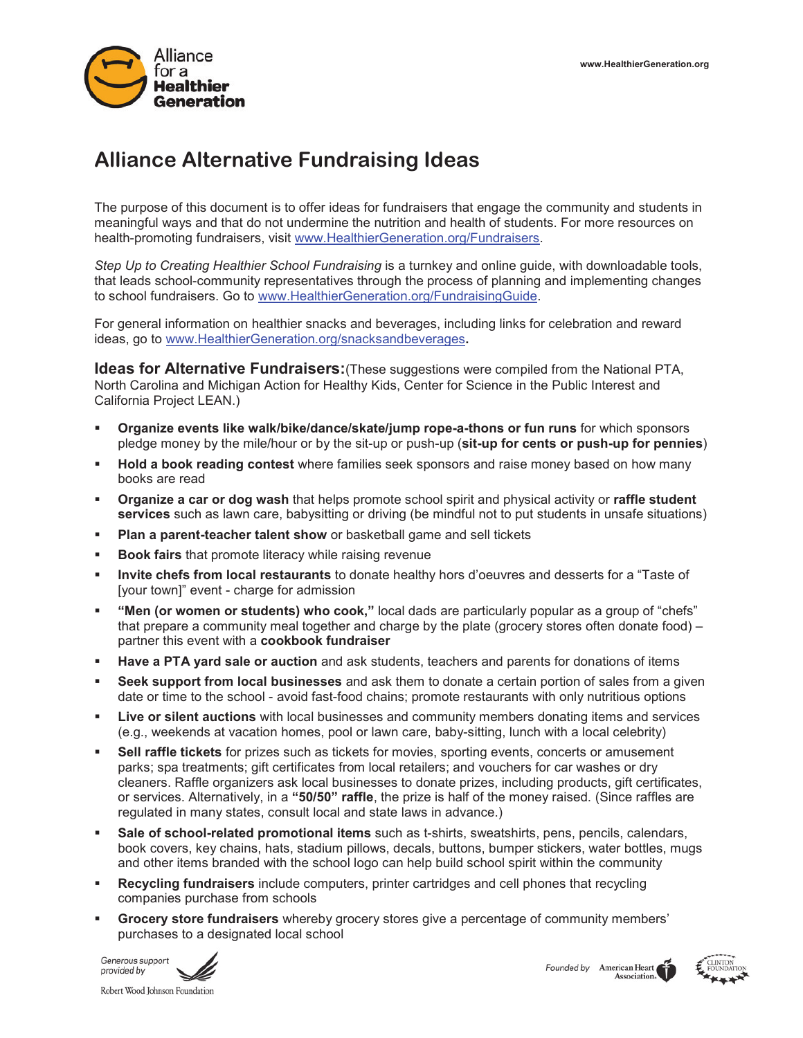

# **Alliance Alternative Fundraising Ideas**

The purpose of this document is to offer ideas for fundraisers that engage the community and students in meaningful ways and that do not undermine the nutrition and health of students. For more resources on health-promoting fundraisers, visit www.HealthierGeneration.org/Fundraisers.

*Step Up to Creating Healthier School Fundraising* is a turnkey and online guide, with downloadable tools, that leads school-community representatives through the process of planning and implementing changes to school fundraisers. Go to www.HealthierGeneration.org/FundraisingGuide.

For general information on healthier snacks and beverages, including links for celebration and reward ideas, go to www.HealthierGeneration.org/snacksandbeverages**.**

**Ideas for Alternative Fundraisers:** (These suggestions were compiled from the National PTA, North Carolina and Michigan Action for Healthy Kids, Center for Science in the Public Interest and California Project LEAN.)

- **Organize events like walk/bike/dance/skate/jump rope-a-thons or fun runs** for which sponsors pledge money by the mile/hour or by the sit-up or push-up (**sit-up for cents or push-up for pennies**)
- **Hold a book reading contest** where families seek sponsors and raise money based on how many books are read
- **Organize a car or dog wash** that helps promote school spirit and physical activity or **raffle student services** such as lawn care, babysitting or driving (be mindful not to put students in unsafe situations)
- **Plan a parent-teacher talent show** or basketball game and sell tickets
- **Book fairs** that promote literacy while raising revenue
- **Invite chefs from local restaurants** to donate healthy hors d'oeuvres and desserts for a "Taste of [your town]" event - charge for admission
- **"Men (or women or students) who cook,"** local dads are particularly popular as a group of "chefs" that prepare a community meal together and charge by the plate (grocery stores often donate food) – partner this event with a **cookbook fundraiser**
- **Have a PTA yard sale or auction** and ask students, teachers and parents for donations of items
- **Seek support from local businesses** and ask them to donate a certain portion of sales from a given date or time to the school - avoid fast-food chains; promote restaurants with only nutritious options
- **Live or silent auctions** with local businesses and community members donating items and services (e.g., weekends at vacation homes, pool or lawn care, baby-sitting, lunch with a local celebrity)
- **Sell raffle tickets** for prizes such as tickets for movies, sporting events, concerts or amusement parks; spa treatments; gift certificates from local retailers; and vouchers for car washes or dry cleaners. Raffle organizers ask local businesses to donate prizes, including products, gift certificates, or services. Alternatively, in a **"50/50" raffle**, the prize is half of the money raised. (Since raffles are regulated in many states, consult local and state laws in advance.)
- **Sale of school-related promotional items** such as t-shirts, sweatshirts, pens, pencils, calendars, book covers, key chains, hats, stadium pillows, decals, buttons, bumper stickers, water bottles, mugs and other items branded with the school logo can help build school spirit within the community
- **Recycling fundraisers** include computers, printer cartridges and cell phones that recycling companies purchase from schools
- **Grocery store fundraisers** whereby grocery stores give a percentage of community members' purchases to a designated local school





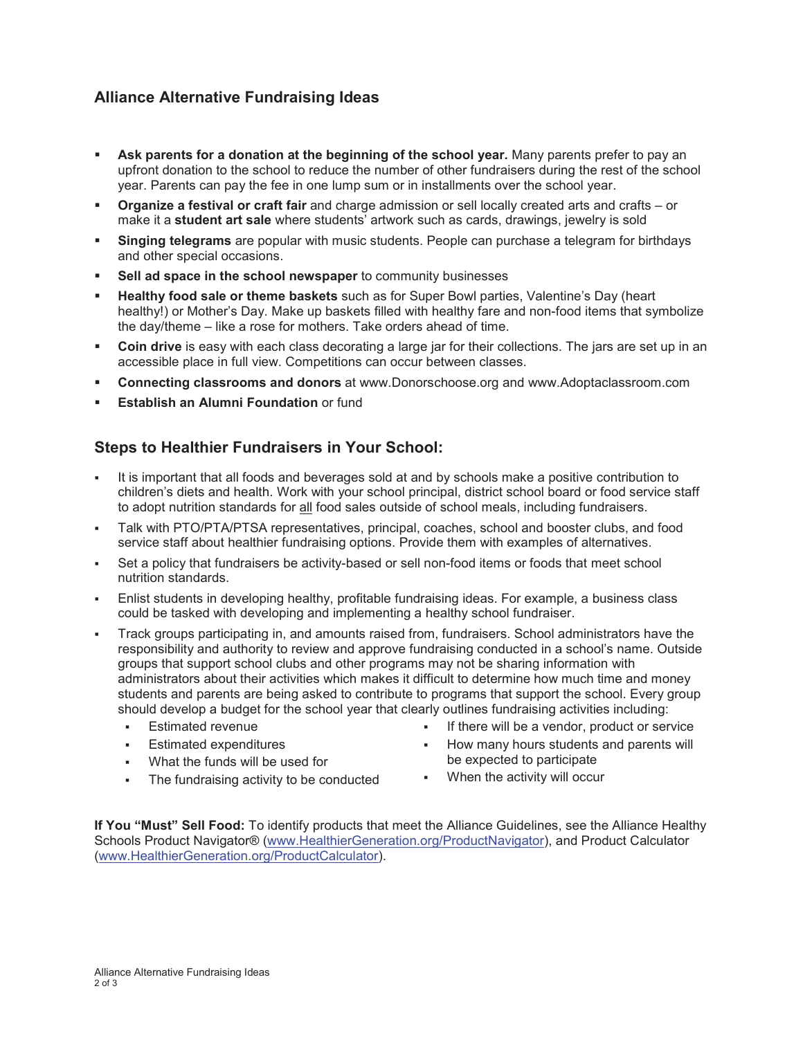## **Alliance Alternative Fundraising Ideas**

- **Ask parents for a donation at the beginning of the school year.** Many parents prefer to pay an upfront donation to the school to reduce the number of other fundraisers during the rest of the school year. Parents can pay the fee in one lump sum or in installments over the school year.
- **Organize a festival or craft fair** and charge admission or sell locally created arts and crafts or make it a **student art sale** where students' artwork such as cards, drawings, jewelry is sold
- **Singing telegrams** are popular with music students. People can purchase a telegram for birthdays and other special occasions.
- **Sell ad space in the school newspaper** to community businesses
- **Healthy food sale or theme baskets** such as for Super Bowl parties, Valentine's Day (heart healthy!) or Mother's Day. Make up baskets filled with healthy fare and non-food items that symbolize the day/theme – like a rose for mothers. Take orders ahead of time.
- **Coin drive** is easy with each class decorating a large jar for their collections. The jars are set up in an accessible place in full view. Competitions can occur between classes.
- **Connecting classrooms and donors** at www.Donorschoose.org and www.Adoptaclassroom.com
- **Establish an Alumni Foundation** or fund

### **Steps to Healthier Fundraisers in Your School:**

- It is important that all foods and beverages sold at and by schools make a positive contribution to children's diets and health. Work with your school principal, district school board or food service staff to adopt nutrition standards for all food sales outside of school meals, including fundraisers.
- Talk with PTO/PTA/PTSA representatives, principal, coaches, school and booster clubs, and food service staff about healthier fundraising options. Provide them with examples of alternatives.
- Set a policy that fundraisers be activity-based or sell non-food items or foods that meet school nutrition standards.
- Enlist students in developing healthy, profitable fundraising ideas. For example, a business class could be tasked with developing and implementing a healthy school fundraiser.
- Track groups participating in, and amounts raised from, fundraisers. School administrators have the responsibility and authority to review and approve fundraising conducted in a school's name. Outside groups that support school clubs and other programs may not be sharing information with administrators about their activities which makes it difficult to determine how much time and money students and parents are being asked to contribute to programs that support the school. Every group should develop a budget for the school year that clearly outlines fundraising activities including:
	- Estimated revenue
	- Estimated expenditures
	- What the funds will be used for
	- The fundraising activity to be conducted
- If there will be a vendor, product or service
- How many hours students and parents will be expected to participate
- When the activity will occur

**If You "Must" Sell Food:** To identify products that meet the Alliance Guidelines, see the Alliance Healthy Schools Product Navigator® (www.HealthierGeneration.org/ProductNavigator), and Product Calculator (www.HealthierGeneration.org/ProductCalculator).